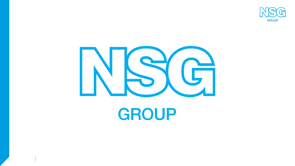



# **GROUP**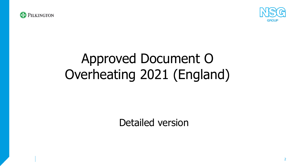



# Approved Document O Overheating 2021 (England)

Detailed version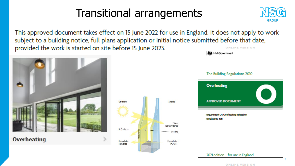# Transitional arrangements



This approved document takes effect on 15 June 2022 for use in England. It does not apply to work subject to a building notice, full plans application or initial notice submitted before that date, provided the work is started on site before 15 June 2023. **LEWIS COMP.** MERING MILLER



**Overheating** 



**機** HM Government The Building Regulations 2010 **Overheating APPROVED DOCUMENT** Requirement OI: Overheating mitigation Regulations: 408

2021 edition - for use in England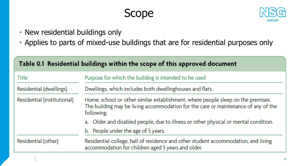## Scope



- New residential buildings only
- Applies to parts of mixed-use buildings that are for residential purposes only

| Table 0.1 Residential buildings within the scope of this approved document |                                                                                                                                                                                      |  |  |  |  |  |
|----------------------------------------------------------------------------|--------------------------------------------------------------------------------------------------------------------------------------------------------------------------------------|--|--|--|--|--|
| Title                                                                      | Purpose for which the building is intended to be used                                                                                                                                |  |  |  |  |  |
| Residential (dwellings)                                                    | Dwellings, which includes both dwellinghouses and flats.                                                                                                                             |  |  |  |  |  |
| Residential (institutional)                                                | Home, school or other similar establishment, where people sleep on the premises.<br>The building may be living accommodation for the care or maintenance of any of the<br>following. |  |  |  |  |  |
|                                                                            | a. Older and disabled people, due to illness or other physical or mental condition.                                                                                                  |  |  |  |  |  |
| b. People under the age of 5 years.                                        |                                                                                                                                                                                      |  |  |  |  |  |
| Residential (other)                                                        | Residential college, hall of residence and other student accommodation, and living<br>accommodation for children aged 5 years and older.                                             |  |  |  |  |  |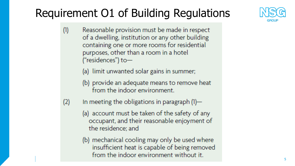# Requirement O1 of Building Regulations



- $(1)$ Reasonable provision must be made in respect of a dwelling, institution or any other building containing one or more rooms for residential purposes, other than a room in a hotel ("residences") to-
	- (a) limit unwanted solar gains in summer;
	- (b) provide an adequate means to remove heat from the indoor environment.
- $(2)$ In meeting the obligations in paragraph  $(1)$ —
	- (a) account must be taken of the safety of any occupant, and their reasonable enjoyment of the residence; and
	- (b) mechanical cooling may only be used where insufficient heat is capable of being removed from the indoor environment without it.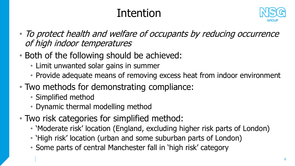# Intention



- To protect health and welfare of occupants by reducing occurrence of high indoor temperatures
- Both of the following should be achieved:
	- Limit unwanted solar gains in summer
	- Provide adequate means of removing excess heat from indoor environment
- Two methods for demonstrating compliance:
	- Simplified method
	- Dynamic thermal modelling method
- Two risk categories for simplified method:
	- 'Moderate risk' location (England, excluding higher risk parts of London)
	- 'High risk' location (urban and some suburban parts of London)
	- Some parts of central Manchester fall in 'high risk' category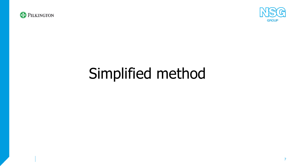



# Simplified method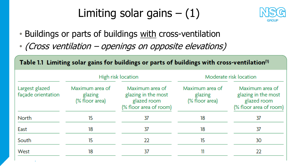### Limiting solar gains  $- (1)$



- Buildings or parts of buildings with cross-ventilation
- (Cross ventilation openings on opposite elevations)

| Table 1.1 Limiting solar gains for buildings or parts of buildings with cross-ventilation <sup>(1)</sup> |                                              |                                                                                 |                                              |                                                                                 |  |  |  |
|----------------------------------------------------------------------------------------------------------|----------------------------------------------|---------------------------------------------------------------------------------|----------------------------------------------|---------------------------------------------------------------------------------|--|--|--|
|                                                                                                          |                                              | High risk location                                                              |                                              | Moderate risk location                                                          |  |  |  |
| Largest glazed<br>façade orientation                                                                     | Maximum area of<br>glazing<br>(% floor area) | Maximum area of<br>glazing in the most<br>glazed room<br>(% floor area of room) | Maximum area of<br>glazing<br>(% floor area) | Maximum area of<br>glazing in the most<br>glazed room<br>(% floor area of room) |  |  |  |
| <b>North</b>                                                                                             | 15                                           | 37                                                                              | 18                                           | 37                                                                              |  |  |  |
| East                                                                                                     | 18                                           | 37                                                                              | 18                                           | 37                                                                              |  |  |  |
| South                                                                                                    | 15                                           | 22                                                                              | 15                                           | 30                                                                              |  |  |  |
| West                                                                                                     | 18                                           | 37                                                                              | 11                                           | 22                                                                              |  |  |  |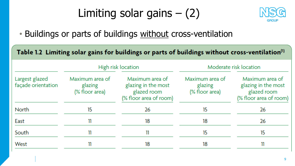### Limiting solar gains  $-$  (2)



• Buildings or parts of buildings without cross-ventilation

| Table 1.2 Limiting solar gains for buildings or parts of buildings without cross-ventilation <sup>(1)</sup> |                                              |                                                                                 |                                              |                                                                                 |  |  |  |
|-------------------------------------------------------------------------------------------------------------|----------------------------------------------|---------------------------------------------------------------------------------|----------------------------------------------|---------------------------------------------------------------------------------|--|--|--|
|                                                                                                             |                                              | High risk location                                                              |                                              | Moderate risk location                                                          |  |  |  |
| Largest glazed<br>façade orientation                                                                        | Maximum area of<br>glazing<br>(% floor area) | Maximum area of<br>glazing in the most<br>glazed room<br>(% floor area of room) | Maximum area of<br>glazing<br>(% floor area) | Maximum area of<br>glazing in the most<br>glazed room<br>(% floor area of room) |  |  |  |
| <b>North</b>                                                                                                | 15                                           | 26                                                                              | 15                                           | 26                                                                              |  |  |  |
| East                                                                                                        | 11                                           | 18                                                                              | 18                                           | 26                                                                              |  |  |  |
| South                                                                                                       | 11                                           | 11                                                                              | 15                                           | 15                                                                              |  |  |  |
| West                                                                                                        | 11                                           | 18                                                                              | 18                                           | 11                                                                              |  |  |  |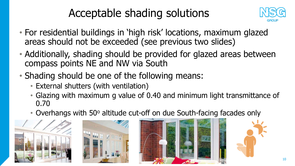# Acceptable shading solutions



- For residential buildings in 'high risk' locations, maximum glazed areas should not be exceeded (see previous two slides)
- Additionally, shading should be provided for glazed areas between compass points NE and NW via South
- Shading should be one of the following means:
	- External shutters (with ventilation)
	- Glazing with maximum g value of 0.40 and minimum light transmittance of 0.70
	- Overhangs with 50° altitude cut-off on due South-facing facades only





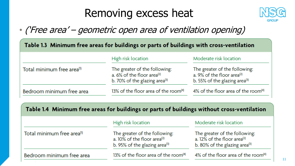### Removing excess heat



### • ('Free area' – geometric open area of ventilation opening)

| Table 1.3 Minimum free areas for buildings or parts of buildings with cross-ventilation |                                                                                                                |                                                                                                                      |  |  |  |
|-----------------------------------------------------------------------------------------|----------------------------------------------------------------------------------------------------------------|----------------------------------------------------------------------------------------------------------------------|--|--|--|
|                                                                                         | High risk location                                                                                             | Moderate risk location                                                                                               |  |  |  |
| Total minimum free area <sup>(1)</sup>                                                  | The greater of the following:<br>a. $6\%$ of the floor area <sup>(2)</sup><br>b. 70% of the glazing area $(3)$ | The greater of the following:<br>a. 9% of the floor area <sup>(2)</sup><br>b. 55% of the glazing area <sup>(3)</sup> |  |  |  |
| Bedroom minimum free area                                                               | 13% of the floor area of the room $(4)$                                                                        | 4% of the floor area of the room $(4)$                                                                               |  |  |  |

|  |  | Table 1.4 Minimum free areas for buildings or parts of buildings without cross-ventilation |
|--|--|--------------------------------------------------------------------------------------------|
|--|--|--------------------------------------------------------------------------------------------|

|                                        | High risk location                                                                                                       | Moderate risk location                                                                                                   |  |  |
|----------------------------------------|--------------------------------------------------------------------------------------------------------------------------|--------------------------------------------------------------------------------------------------------------------------|--|--|
| Total minimum free area <sup>(1)</sup> | The greater of the following:<br>a. $10\%$ of the floor area <sup>(2)</sup><br>b. 95% of the glazing area <sup>(3)</sup> | The greater of the following:<br>a. $12\%$ of the floor area <sup>(2)</sup><br>b. 80% of the glazing area <sup>(3)</sup> |  |  |
| Bedroom minimum free area              | 13% of the floor area of the room <sup>(4)</sup>                                                                         | 4% of the floor area of the room $(4)$                                                                                   |  |  |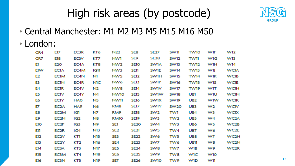

# High risk areas (by postcode)

- Central Manchester: M1 M2 M3 M5 M15 M16 M50
- London:

| CR4        | E 17              | <b>EC3R</b> | KT6  | N22             | SE8              | <b>SE27</b>     | <b>SW11</b>     | <b>TWIO</b>     | <b>WIF</b>     | W12               |
|------------|-------------------|-------------|------|-----------------|------------------|-----------------|-----------------|-----------------|----------------|-------------------|
| CR7        | E18               | EC3V        | KT7  | NW1             | SE9              | <b>SE28</b>     | <b>SW12</b>     | TW11            | <b>WIG</b>     | W13               |
| EI         | E20               | EC4A        | KT8  | NW <sub>2</sub> | <b>SEIO</b>      | <b>SW1A</b>     | <b>SWV13</b>    | <b>TW12</b>     | <b>WIH</b>     | <b>W14</b>        |
| <b>EIW</b> | <b>ECIA</b>       | EC4M        | IGII | NW3             | <b>SETT</b>      | <b>SW1E</b>     | <b>SW14</b>     | TW13            | WIJ            | <b>WCIA</b>       |
| E2         | <b>ECIM</b>       | EC4N        | NI   | NW <sub>5</sub> | SE12             | <b>SWIH</b>     | <b>SW15</b>     | <b>TW14</b>     | <b>WIK</b>     | <b>WCIB</b>       |
| E3         | <b>ECIN</b>       | EC4R        | NIC. | NW <sub>6</sub> | SE13             | <b>SWIP</b>     | <b>SW16</b>     | <b>TW15</b>     | <b>WIS</b>     | <b>WCIE</b>       |
| E4         | <b>ECIR</b>       | EC4V        | N2   | NW <sub>8</sub> | SE <sub>14</sub> | <b>SWIV</b>     | <b>SW17</b>     | <b>TW19</b>     | <b>WIT</b>     | <b>WCIH</b>       |
| E5         | <b>ECIV</b>       | EC4Y        | N4   | NW10            | SE15             | <b>SWTW</b>     | SW18            | <b>UB1</b>      | <b>WIU</b>     | <b>WCIN</b>       |
| E6         | ECIY              | <b>HAO</b>  | N5.  | <b>NW11</b>     | SE16             | <b>SWIX</b>     | <b>SW19</b>     | UB <sub>2</sub> | <b>WIW</b>     | <b>WCIR</b>       |
| EZ         | EC <sub>2</sub> A | HA9         | N6   | RM8             | SE17             | <b>SWIY</b>     | <b>SW20</b>     | UB3             | W <sub>2</sub> | <b>WCIV</b>       |
| E8         | <b>EC2M</b>       | IGI         | NZ   | RM <sub>9</sub> | SE18             | SW <sub>2</sub> | <b>TWI</b>      | UB4             | W3             | <b>WCIX</b>       |
| E9         | EC2N              | IG2         | N8   | <b>RMIO</b>     | SE <sub>19</sub> | SW <sub>3</sub> | TW <sub>2</sub> | UB5             | W4             | WC <sub>2</sub> A |
| EЮ         | EC <sub>2</sub> P | IG3         | N9   | SET             | SE <sub>20</sub> | SW <sub>4</sub> | TW <sub>3</sub> | UB6             | W5             | <b>WC2B</b>       |
| ETT        | EC <sub>2R</sub>  | IG4         | N13  | SE <sub>2</sub> | <b>SE21</b>      | SW <sub>5</sub> | TW4             | UB7             | W6             | <b>WC2E</b>       |
| E12        | EC2V              | КTI         | N15  | SE3             | <b>SE22</b>      | SW6             | TW <sub>5</sub> | UB8             | W7             | WC <sub>2H</sub>  |
| E13        | EC2Y              | KT2         | N16  | SE <sub>4</sub> | <b>SE23</b>      | SW7             | TW6             | UBII            | W8             | <b>WC2N</b>       |
| E14        | EC3A              | KT3         | N17  | SE5.            | <b>SE24</b>      | SW <sub>8</sub> | TW7             | W1B             | W9             | WC <sub>2R</sub>  |
| E15        | EC3M              | KT4         | N18  | SE6             | <b>SE25</b>      | SW9             | TW <sub>8</sub> | <b>WIC</b>      | <b>W10</b>     |                   |
| E16        | <b>EC3N</b>       | KT5         | N19  | SE7             | <b>SE26</b>      | <b>SW10</b>     | TW9             | <b>WID</b>      | <b>WTI</b>     |                   |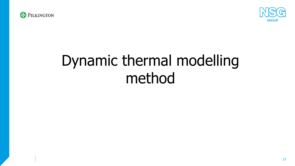



# Dynamic thermal modelling method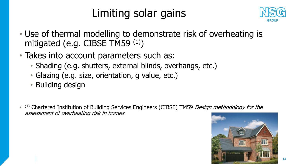# Limiting solar gains



- Use of thermal modelling to demonstrate risk of overheating is mitigated (e.g. CIBSE TM59 (1))
- Takes into account parameters such as:
	- Shading (e.g. shutters, external blinds, overhangs, etc.)
	- Glazing (e.g. size, orientation, g value, etc.)
	- Building design
- (1) Chartered Institution of Building Services Engineers (CIBSE) TM59 Design methodology for the assessment of overheating risk in homes

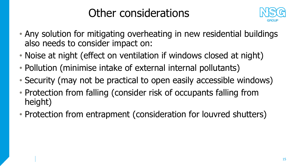# Other considerations



- Any solution for mitigating overheating in new residential buildings also needs to consider impact on:
- Noise at night (effect on ventilation if windows closed at night)
- Pollution (minimise intake of external internal pollutants)
- Security (may not be practical to open easily accessible windows)
- Protection from falling (consider risk of occupants falling from height)
- Protection from entrapment (consideration for louvred shutters)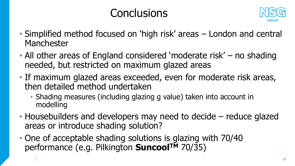# **Conclusions**



- Simplified method focused on 'high risk' areas London and central Manchester
- All other areas of England considered 'moderate risk' no shading needed, but restricted on maximum glazed areas
- If maximum glazed areas exceeded, even for moderate risk areas, then detailed method undertaken
	- Shading measures (including glazing g value) taken into account in modelling
- Housebuilders and developers may need to decide reduce glazed areas or introduce shading solution?
- One of acceptable shading solutions is glazing with 70/40 performance (e.g. Pilkington **SuncoolTM** 70/35)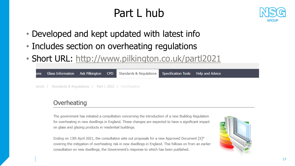# Part L hub



- Developed and kept updated with latest info
- Includes section on overheating regulations
- Short URL: <http://www.pilkington.co.uk/partl2021>

|                                                              |  | ons Glass Information Ask Pilkington CPD Standards & Regulations Specification Tools Help and Advice |  |
|--------------------------------------------------------------|--|------------------------------------------------------------------------------------------------------|--|
| itects / Standards & Regulations / Part L 2022 / Overheating |  |                                                                                                      |  |

#### Overheating

The government has initiated a consultation concerning the introduction of a new Building Regulation for overheating in new dwellings in England. These changes are expected to have a significant impact on glass and glazing products in residential buildings.

Ending on 13th April 2021, the consultation sets out proposals for a new Approved Document [X]\* covering the mitigation of overheating risk in new dwellings in England. This follows on from an earlier consultation on new dwellings, the Government's response to which has been published.